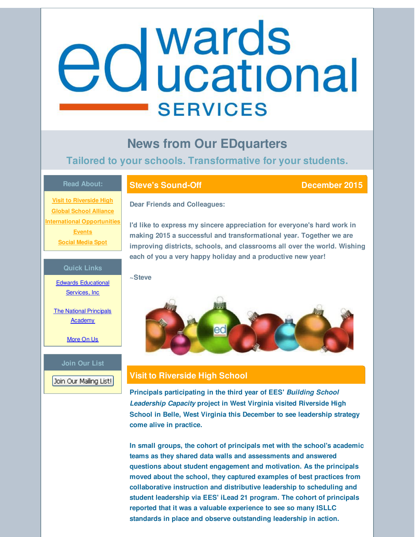# <span id="page-0-0"></span>**e** d wards<br> **e** d ucational **SERVICES**

# **News from Our EDquarters**

## **Tailored to your schools. Transformative for your students.**

#### **Read About:**

**Visit to [Riverside](#page-0-0) High Global School [Alliance](#page-0-0) International [Opportunities](#page-0-0) [Events](#page-0-0) [Social](#page-0-0) Media Spot**

#### **Quick Links**

Edwards [Educational](http://r20.rs6.net/tn.jsp?f=001y1ltD-1ldJDzDiVwNHG-Es5HooYJqU2RTJRjSvwn_LiyjeQXwVNZuDDNRK-agKZCooorl3CWEiWI-zo8XkGEMfaFgzzAxBra5jwogiXbSuzPSRUmFDcbB2cSQlr99q9nAqiCwiHXea4Ox_YuH_fpxnYdTzI6ntIHz9esb72oPtPg3PrmLKNvIg==&c=&ch=) Services, Inc

The National [Principals](http://r20.rs6.net/tn.jsp?f=001y1ltD-1ldJDzDiVwNHG-Es5HooYJqU2RTJRjSvwn_LiyjeQXwVNZuF1S5yZzpjVlVKRVJayvdUtXIZSq0upGQB05v2Y8CjMx6udSYi6RDl3dcP9_UPd-MpPBpuO3rscUau90LTuOt1x-IfCPI0YwaiXXikg3of0PJWbI00wm1CTD7WFG4gRjKmVDGbdErJlc&c=&ch=) **Academy** 

[More](http://r20.rs6.net/tn.jsp?f=001y1ltD-1ldJDzDiVwNHG-Es5HooYJqU2RTJRjSvwn_LiyjeQXwVNZuD9vHTFdbm_0UtgqNrqK8y6Hk7rQg59gX44fbLVAckvEoBE_TFAGJ20XhnhpYj7IWrZWuBWjQL-N_fslB8IGAymTQWQnHol3lc20rpKatW23K0O5yorizQuLFNZ5KaWIkCJaecCuwGGn&c=&ch=) On Us

#### **Join Our List**

Join Our Mailing List!

### **Steve's Sound-Off December 2015**

**Dear Friends and Colleagues:**

**I'd like to express my sincere appreciation for everyone's hard work in making 2015 a successful and transformational year. Together we are improving districts, schools, and classrooms all over the world. Wishing each of you a very happy holiday and a productive new year!**

#### **~Steve**



### **Visit to Riverside High School**

**Principals participating in the third year of EES'** *Building School Leadership Capacity* **project in West Virginia visited Riverside High School in Belle, West Virginia this December to see leadership strategy come alive in practice.**

**In small groups, the cohort of principals met with the school's academic teams as they shared data walls and assessments and answered questions about student engagement and motivation. As the principals moved about the school, they captured examples of best practices from collaborative instruction and distributive leadership to scheduling and student leadership via EES' iLead 21 program. The cohort of principals reported that it was a valuable experience to see so many ISLLC standards in place and observe outstanding leadership in action.**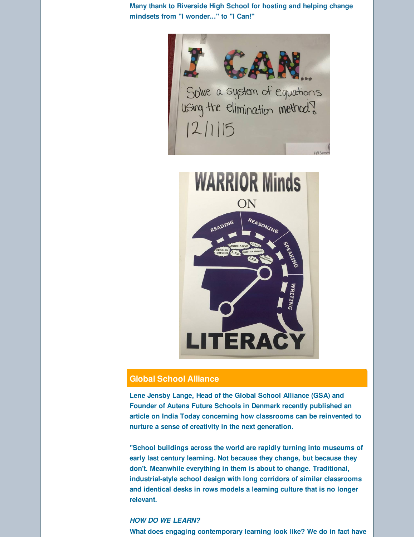**Many thank to Riverside High School for hosting and helping change mindsets from "I wonder..." to "I Can!"**





#### **Global School Alliance**

**Lene Jensby Lange, Head of the Global School Alliance (GSA) and Founder of Autens Future Schools in Denmark recently published an article on India Today concerning how classrooms can be reinvented to nurture a sense of creativity in the next generation.**

**"School buildings across the world are rapidly turning into museums of early last century learning. Not because they change, but because they don't. Meanwhile everything in them is about to change. Traditional, industrial-style school design with long corridors of similar classrooms and identical desks in rows models a learning culture that is no longer relevant.**

#### *HOW DO WE LEARN?*

**What does engaging contemporary learning look like? We do in fact have**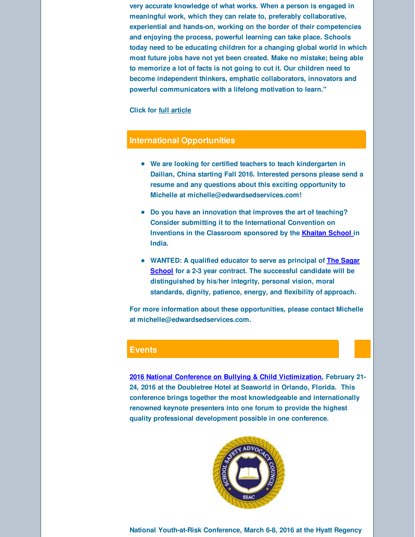**very accurate knowledge of what works. When a person is engaged in meaningful work, which they can relate to, preferably collaborative, experiential and hands-on, working on the border of their competencies and enjoying the process, powerful learning can take place. Schools today need to be educating children for a changing global world in which most future jobs have not yet been created. Make no mistake; being able to memorize a lot of facts is not going to cut it. Our children need to become independent thinkers, emphatic collaborators, innovators and powerful communicators with a lifelong motivation to learn."**

#### **Click for full [article](http://r20.rs6.net/tn.jsp?f=001y1ltD-1ldJDzDiVwNHG-Es5HooYJqU2RTJRjSvwn_LiyjeQXwVNZuLNmxKCbhyurszv_bOP8BT9lJbs2YkbRAX7E8IcPZvOMNkLSsQFvCytAW98t1A_r_1F1glm8pGkzT3qnSQwZs24rJNZsj0uByysirwxNjUMQ2nsYkiVMlJhJRQChUXmrL_Jc8q0wU3HIEOE5Dh0knUsYISGpSAkDdrlDUw8XXncjaOQKUKaomaB4F5YVV83PV8aIz2qiTezceudyvSAiYkyJd5155b01_zR983xmkJ7S&c=&ch=)**

#### **International Opportunities**

- **We are looking for certified teachers to teach kindergarten in Dailian, China starting Fall 2016. Interested persons please send a resume and any questions about this exciting opportunity to Michelle at michelle@edwardsedservices.com!**
- **Do you have an innovation that improves the art of teaching? Consider submitting it to the International Convention on Inventions in the Classroom sponsored by the [Khaitan](http://r20.rs6.net/tn.jsp?f=001y1ltD-1ldJDzDiVwNHG-Es5HooYJqU2RTJRjSvwn_LiyjeQXwVNZuLNmxKCbhyurDeluw4j6s49rRWYHQDLpaD6E_a5o8H7lpIz5YyT6nPkq3qyXfTXhwLD4sI2SnXRySxl8HvJZpfWd8GOKPzz0zwFoLdN8_FFSYLGItk0VOrHeJqYJ1_88fznWEmyAsnJn&c=&ch=) School in India.**
- **WANTED: A qualified educator to serve as principal of The Sagar School for a 2-3 year contract. The [successful](http://r20.rs6.net/tn.jsp?f=001y1ltD-1ldJDzDiVwNHG-Es5HooYJqU2RTJRjSvwn_LiyjeQXwVNZuLNmxKCbhyur1i9sklGqjtIwAh8DSOtrHQNZiBKPjiZeVbBZwBiuzpcLhNsRws0udczIazrl5yij-pq90ItSil1jBaW6dRQFIHFvkRI8UUP1UxVXca-638I9LlkBKCX_RA==&c=&ch=) candidate will be distinguished by his/her integrity, personal vision, moral standards, dignity, patience, energy, and flexibility of approach.**

**For more information about these opportunities, please contact Michelle at michelle@edwardsedservices.com.**

#### **Events**

**2016 National Conference on Bullying & Child [Victimization](http://r20.rs6.net/tn.jsp?f=001y1ltD-1ldJDzDiVwNHG-Es5HooYJqU2RTJRjSvwn_LiyjeQXwVNZuPzWhGKwPAxEsVo_Npx8aRArT9_Zx-ZpkXCGryRqHE0YOSMwjK3AEpPHDhMPEODfpBX230q-vVq_8dG23iLlgZ6pILLQDKNY_96mnX4256saJnIDmJCtO_Wm5cyXpQRW1HKAvlnB-YIcFDe6Gim_-9M=&c=&ch=), February 21- 24, 2016 at the Doubletree Hotel at Seaworld in Orlando, Florida. This conference brings together the most knowledgeable and internationally renowned keynote presenters into one forum to provide the highest quality professional development possible in one conference.**



**National Youth-at-Risk Conference, March 6-8, 2016 at the Hyatt Regency**